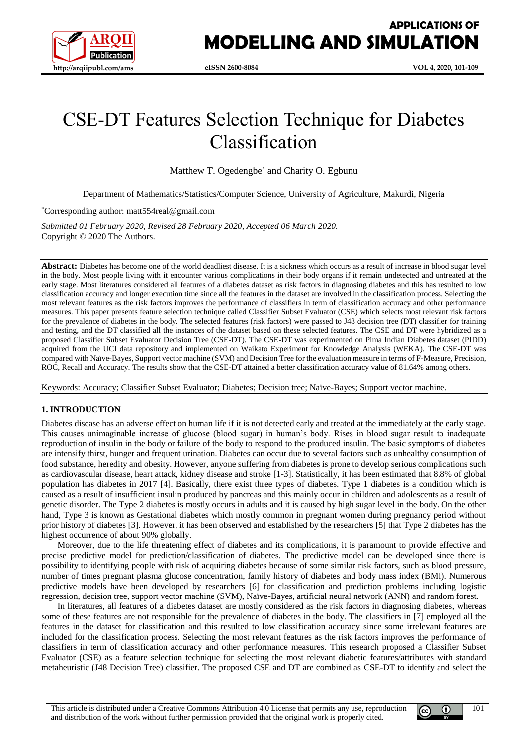

# CSE-DT Features Selection Technique for Diabetes Classification

Matthew T. Ogedengbe<sup>\*</sup> and Charity O. Egbunu

Department of Mathematics/Statistics/Computer Science, University of Agriculture, Makurdi, Nigeria

\*Corresponding author: matt554real@gmail.com

*Submitted 01 February 2020, Revised 28 February 2020, Accepted 06 March 2020.* Copyright © 2020 The Authors.

Abstract: Diabetes has become one of the world deadliest disease. It is a sickness which occurs as a result of increase in blood sugar level in the body. Most people living with it encounter various complications in their body organs if it remain undetected and untreated at the early stage. Most literatures considered all features of a diabetes dataset as risk factors in diagnosing diabetes and this has resulted to low classification accuracy and longer execution time since all the features in the dataset are involved in the classification process. Selecting the most relevant features as the risk factors improves the performance of classifiers in term of classification accuracy and other performance measures. This paper presents feature selection technique called Classifier Subset Evaluator (CSE) which selects most relevant risk factors for the prevalence of diabetes in the body. The selected features (risk factors) were passed to J48 decision tree (DT) classifier for training and testing, and the DT classified all the instances of the dataset based on these selected features. The CSE and DT were hybridized as a proposed Classifier Subset Evaluator Decision Tree (CSE-DT). The CSE-DT was experimented on Pima Indian Diabetes dataset (PIDD) acquired from the UCI data repository and implemented on Waikato Experiment for Knowledge Analysis (WEKA). The CSE-DT was compared with Naïve-Bayes, Support vector machine (SVM) and Decision Tree for the evaluation measure in terms of F-Measure, Precision, ROC, Recall and Accuracy. The results show that the CSE-DT attained a better classification accuracy value of 81.64% among others.

Keywords: Accuracy; Classifier Subset Evaluator; Diabetes; Decision tree; Naïve-Bayes; Support vector machine.

## **1. INTRODUCTION**

Diabetes disease has an adverse effect on human life if it is not detected early and treated at the immediately at the early stage. This causes unimaginable increase of glucose (blood sugar) in human's body. Rises in blood sugar result to inadequate reproduction of insulin in the body or failure of the body to respond to the produced insulin. The basic symptoms of diabetes are intensify thirst, hunger and frequent urination. Diabetes can occur due to several factors such as unhealthy consumption of food substance, heredity and obesity. However, anyone suffering from diabetes is prone to develop serious complications such as cardiovascular disease, heart attack, kidney disease and stroke [1-3]. Statistically, it has been estimated that 8.8% of global population has diabetes in 2017 [4]. Basically, there exist three types of diabetes. Type 1 diabetes is a condition which is caused as a result of insufficient insulin produced by pancreas and this mainly occur in children and adolescents as a result of genetic disorder. The Type 2 diabetes is mostly occurs in adults and it is caused by high sugar level in the body. On the other hand, Type 3 is known as Gestational diabetes which mostly common in pregnant women during pregnancy period without prior history of diabetes [3]. However, it has been observed and established by the researchers [5] that Type 2 diabetes has the highest occurrence of about 90% globally.

Moreover, due to the life threatening effect of diabetes and its complications, it is paramount to provide effective and precise predictive model for prediction/classification of diabetes. The predictive model can be developed since there is possibility to identifying people with risk of acquiring diabetes because of some similar risk factors, such as blood pressure, number of times pregnant plasma glucose concentration, family history of diabetes and body mass index (BMI). Numerous predictive models have been developed by researchers [6] for classification and prediction problems including logistic regression, decision tree, support vector machine (SVM), Naïve-Bayes, artificial neural network (ANN) and random forest.

In literatures, all features of a diabetes dataset are mostly considered as the risk factors in diagnosing diabetes, whereas some of these features are not responsible for the prevalence of diabetes in the body. The classifiers in [7] employed all the features in the dataset for classification and this resulted to low classification accuracy since some irrelevant features are included for the classification process. Selecting the most relevant features as the risk factors improves the performance of classifiers in term of classification accuracy and other performance measures. This research proposed a Classifier Subset Evaluator (CSE) as a feature selection technique for selecting the most relevant diabetic features/attributes with standard metaheuristic (J48 Decision Tree) classifier. The proposed CSE and DT are combined as CSE-DT to identify and select the

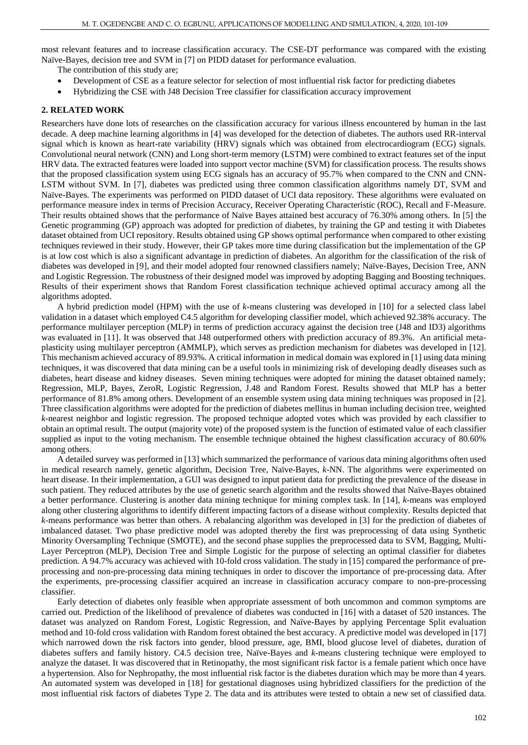most relevant features and to increase classification accuracy. The CSE-DT performance was compared with the existing Naïve-Bayes, decision tree and SVM in [7] on PIDD dataset for performance evaluation.

The contribution of this study are;

- Development of CSE as a feature selector for selection of most influential risk factor for predicting diabetes
- Hybridizing the CSE with J48 Decision Tree classifier for classification accuracy improvement

## **2. RELATED WORK**

Researchers have done lots of researches on the classification accuracy for various illness encountered by human in the last decade. A deep machine learning algorithms in [4] was developed for the detection of diabetes. The authors used RR-interval signal which is known as heart-rate variability (HRV) signals which was obtained from electrocardiogram (ECG) signals. Convolutional neural network (CNN) and Long short-term memory (LSTM) were combined to extract features set of the input HRV data. The extracted features were loaded into support vector machine (SVM) for classification process. The results shows that the proposed classification system using ECG signals has an accuracy of 95.7% when compared to the CNN and CNN-LSTM without SVM. In [7], diabetes was predicted using three common classification algorithms namely DT, SVM and Naïve-Bayes. The experiments was performed on PIDD dataset of UCI data repository. These algorithms were evaluated on performance measure index in terms of Precision Accuracy, Receiver Operating Characteristic (ROC), Recall and F-Measure. Their results obtained shows that the performance of Naïve Bayes attained best accuracy of 76.30% among others. In [5] the Genetic programming (GP) approach was adopted for prediction of diabetes, by training the GP and testing it with Diabetes dataset obtained from UCI repository. Results obtained using GP shows optimal performance when compared to other existing techniques reviewed in their study. However, their GP takes more time during classification but the implementation of the GP is at low cost which is also a significant advantage in prediction of diabetes. An algorithm for the classification of the risk of diabetes was developed in [9], and their model adopted four renowned classifiers namely; Naïve-Bayes, Decision Tree, ANN and Logistic Regression. The robustness of their designed model was improved by adopting Bagging and Boosting techniques. Results of their experiment shows that Random Forest classification technique achieved optimal accuracy among all the algorithms adopted.

A hybrid prediction model (HPM) with the use of *k*-means clustering was developed in [10] for a selected class label validation in a dataset which employed C4.5 algorithm for developing classifier model, which achieved 92.38% accuracy. The performance multilayer perception (MLP) in terms of prediction accuracy against the decision tree (J48 and ID3) algorithms was evaluated in [11]. It was observed that J48 outperformed others with prediction accuracy of 89.3%. An artificial metaplasticity using multilayer perceptron (AMMLP), which serves as prediction mechanism for diabetes was developed in [12]. This mechanism achieved accuracy of 89.93%. A critical information in medical domain was explored in [1] using data mining techniques, it was discovered that data mining can be a useful tools in minimizing risk of developing deadly diseases such as diabetes, heart disease and kidney diseases. Seven mining techniques were adopted for mining the dataset obtained namely; Regression, MLP, Bayes, ZeroR, Logistic Regression, J.48 and Random Forest. Results showed that MLP has a better performance of 81.8% among others. Development of an ensemble system using data mining techniques was proposed in [2]. Three classification algorithms were adopted for the prediction of diabetes mellitus in human including decision tree, weighted *k*-nearest neighbor and logistic regression. The proposed technique adopted votes which was provided by each classifier to obtain an optimal result. The output (majority vote) of the proposed system is the function of estimated value of each classifier supplied as input to the voting mechanism. The ensemble technique obtained the highest classification accuracy of 80.60% among others.

A detailed survey was performed in [13] which summarized the performance of various data mining algorithms often used in medical research namely, genetic algorithm, Decision Tree, Naïve-Bayes, *k*-NN. The algorithms were experimented on heart disease. In their implementation, a GUI was designed to input patient data for predicting the prevalence of the disease in such patient. They reduced attributes by the use of genetic search algorithm and the results showed that Naïve-Bayes obtained a better performance. Clustering is another data mining technique for mining complex task. In [14], *k*-means was employed along other clustering algorithms to identify different impacting factors of a disease without complexity. Results depicted that *k*-means performance was better than others. A rebalancing algorithm was developed in [3] for the prediction of diabetes of imbalanced dataset. Two phase predictive model was adopted thereby the first was preprocessing of data using Synthetic Minority Oversampling Technique (SMOTE), and the second phase supplies the preprocessed data to SVM, Bagging, Multi-Layer Perceptron (MLP), Decision Tree and Simple Logistic for the purpose of selecting an optimal classifier for diabetes prediction. A 94.7% accuracy was achieved with 10-fold cross validation. The study in [15] compared the performance of preprocessing and non-pre-processing data mining techniques in order to discover the importance of pre-processing data. After the experiments, pre-processing classifier acquired an increase in classification accuracy compare to non-pre-processing classifier.

Early detection of diabetes only feasible when appropriate assessment of both uncommon and common symptoms are carried out. Prediction of the likelihood of prevalence of diabetes was conducted in [16] with a dataset of 520 instances. The dataset was analyzed on Random Forest, Logistic Regression, and Naïve-Bayes by applying Percentage Split evaluation method and 10-fold cross validation with Random forest obtained the best accuracy. A predictive model was developed in [17] which narrowed down the risk factors into gender, blood pressure, age, BMI, blood glucose level of diabetes, duration of diabetes suffers and family history. C4.5 decision tree, Naïve-Bayes and *k*-means clustering technique were employed to analyze the dataset. It was discovered that in Retinopathy, the most significant risk factor is a female patient which once have a hypertension. Also for Nephropathy, the most influential risk factor is the diabetes duration which may be more than 4 years. An automated system was developed in [18] for gestational diagnoses using hybridized classifiers for the prediction of the most influential risk factors of diabetes Type 2. The data and its attributes were tested to obtain a new set of classified data.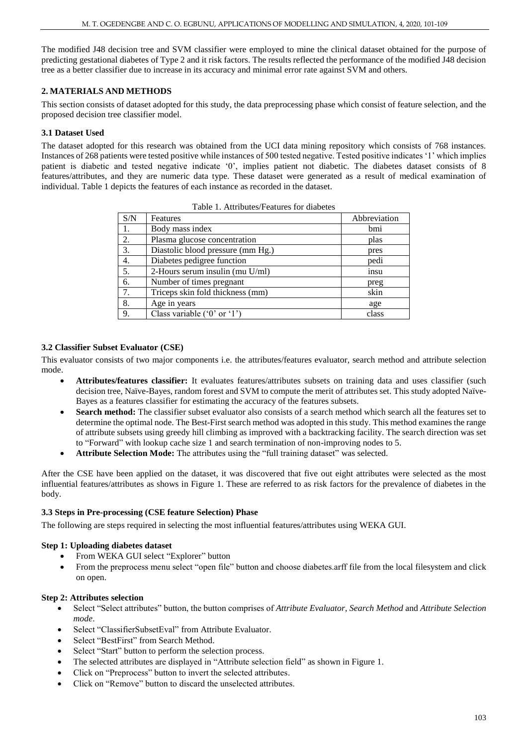The modified J48 decision tree and SVM classifier were employed to mine the clinical dataset obtained for the purpose of predicting gestational diabetes of Type 2 and it risk factors. The results reflected the performance of the modified J48 decision tree as a better classifier due to increase in its accuracy and minimal error rate against SVM and others.

## **2. MATERIALS AND METHODS**

This section consists of dataset adopted for this study, the data preprocessing phase which consist of feature selection, and the proposed decision tree classifier model.

## **3.1 Dataset Used**

The dataset adopted for this research was obtained from the UCI data mining repository which consists of 768 instances. Instances of 268 patients were tested positive while instances of 500 tested negative. Tested positive indicates '1' which implies patient is diabetic and tested negative indicate '0', implies patient not diabetic. The diabetes dataset consists of 8 features/attributes, and they are numeric data type. These dataset were generated as a result of medical examination of individual. Table 1 depicts the features of each instance as recorded in the dataset.

| S/N | Features                          | Abbreviation |
|-----|-----------------------------------|--------------|
| 1.  | Body mass index                   | bmi          |
| 2.  | Plasma glucose concentration      | plas         |
| 3.  | Diastolic blood pressure (mm Hg.) | pres         |
| 4.  | Diabetes pedigree function        | pedi         |
| 5.  | 2-Hours serum insulin (mu U/ml)   | insu         |
| 6.  | Number of times pregnant          | preg         |
| 7.  | Triceps skin fold thickness (mm)  | skin         |
| 8.  | Age in years                      | age          |
| 9.  | Class variable $(0'$ or $(1')$    | class        |

Table 1. Attributes/Features for diabetes

## **3.2 Classifier Subset Evaluator (CSE)**

This evaluator consists of two major components i.e. the attributes/features evaluator, search method and attribute selection mode.

- **Attributes/features classifier:** It evaluates features/attributes subsets on training data and uses classifier (such decision tree, Naïve-Bayes, random forest and SVM to compute the merit of attributes set. This study adopted Naïve-Bayes as a features classifier for estimating the accuracy of the features subsets.
- **Search method:** The classifier subset evaluator also consists of a search method which search all the features set to determine the optimal node. The Best-First search method was adopted in this study. This method examines the range of attribute subsets using greedy hill climbing as improved with a backtracking facility. The search direction was set to "Forward" with lookup cache size 1 and search termination of non-improving nodes to 5.
- **Attribute Selection Mode:** The attributes using the "full training dataset" was selected.

After the CSE have been applied on the dataset, it was discovered that five out eight attributes were selected as the most influential features/attributes as shows in Figure 1. These are referred to as risk factors for the prevalence of diabetes in the body.

## **3.3 Steps in Pre-processing (CSE feature Selection) Phase**

The following are steps required in selecting the most influential features/attributes using WEKA GUI.

## **Step 1: Uploading diabetes dataset**

- From WEKA GUI select "Explorer" button
- From the preprocess menu select "open file" button and choose diabetes.arff file from the local filesystem and click on open.

## **Step 2: Attributes selection**

- Select "Select attributes" button, the button comprises of *Attribute Evaluator*, *Search Method* and *Attribute Selection mode*.
- Select "ClassifierSubsetEval" from Attribute Evaluator.
- Select "BestFirst" from Search Method.
- Select "Start" button to perform the selection process.
- The selected attributes are displayed in "Attribute selection field" as shown in Figure 1.
- Click on "Preprocess" button to invert the selected attributes.
- Click on "Remove" button to discard the unselected attributes.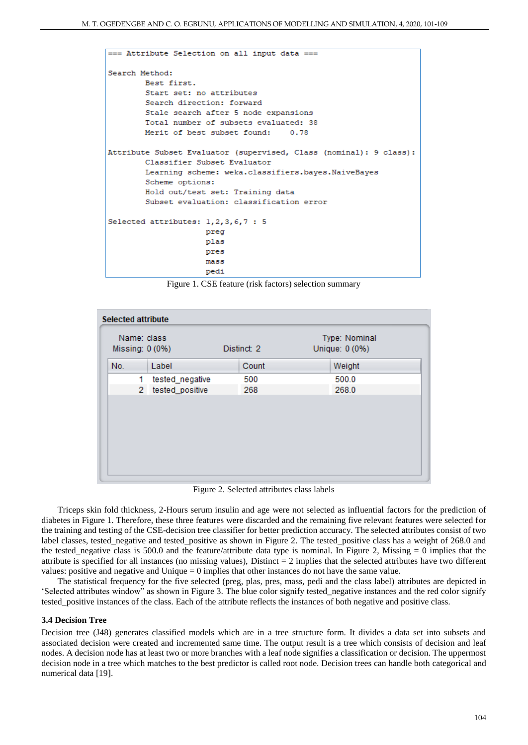```
=== Attribute Selection on all input data ===
Search Method:
        Best first.
        Start set: no attributes
        Search direction: forward
        Stale search after 5 node expansions
        Total number of subsets evaluated: 38
        Merit of best subset found:
                                       0.78Attribute Subset Evaluator (supervised, Class (nominal): 9 class):
        Classifier Subset Evaluator
        Learning scheme: weka.classifiers.bayes.NaiveBayes
        Scheme options:
        Hold out/test set: Training data
        Subset evaluation: classification error
Selected attributes: 1,2,3,6,7 : 5
                     preg
                     plas
                     pres
                     mass
                     pedi
```
Figure 1. CSE feature (risk factors) selection summary

| Name: class<br>Missing: 0 (0%) |                | Distinct: 2     |  | Type: Nominal<br>Unique: 0 (0%) |  |        |
|--------------------------------|----------------|-----------------|--|---------------------------------|--|--------|
| No.                            | Label          |                 |  | Count                           |  | Weight |
|                                | 1              | tested_negative |  | 500                             |  | 500.0  |
|                                | $\mathbf{2}^-$ | tested_positive |  | 268                             |  | 268.0  |
|                                |                |                 |  |                                 |  |        |
|                                |                |                 |  |                                 |  |        |
|                                |                |                 |  |                                 |  |        |
|                                |                |                 |  |                                 |  |        |

Figure 2. Selected attributes class labels

Triceps skin fold thickness, 2-Hours serum insulin and age were not selected as influential factors for the prediction of diabetes in Figure 1. Therefore, these three features were discarded and the remaining five relevant features were selected for the training and testing of the CSE-decision tree classifier for better prediction accuracy. The selected attributes consist of two label classes, tested\_negative and tested\_positive as shown in Figure 2. The tested\_positive class has a weight of 268.0 and the tested\_negative class is 500.0 and the feature/attribute data type is nominal. In Figure 2, Missing  $= 0$  implies that the attribute is specified for all instances (no missing values), Distinct  $= 2$  implies that the selected attributes have two different values: positive and negative and Unique  $= 0$  implies that other instances do not have the same value.

The statistical frequency for the five selected (preg, plas, pres, mass, pedi and the class label) attributes are depicted in 'Selected attributes window" as shown in Figure 3. The blue color signify tested\_negative instances and the red color signify tested\_positive instances of the class. Each of the attribute reflects the instances of both negative and positive class.

#### **3.4 Decision Tree**

Decision tree (J48) generates classified models which are in a tree structure form. It divides a data set into subsets and associated decision were created and incremented same time. The output result is a tree which consists of decision and leaf nodes. A decision node has at least two or more branches with a leaf node signifies a classification or decision. The uppermost decision node in a tree which matches to the best predictor is called root node. Decision trees can handle both categorical and numerical data [19].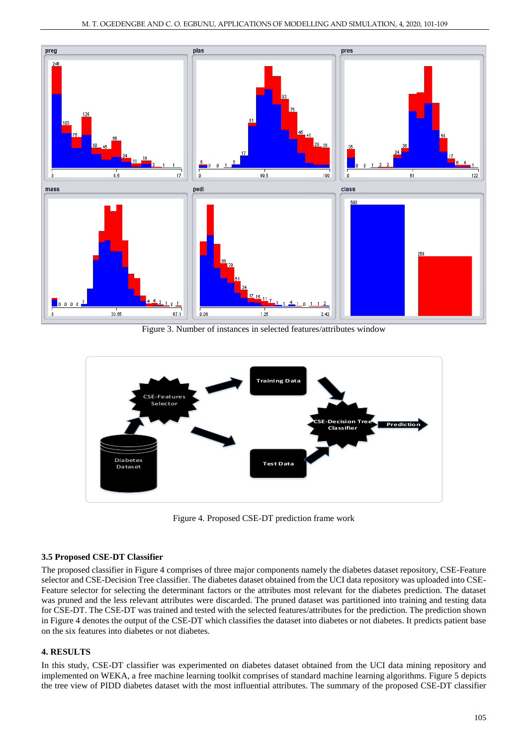

Figure 3. Number of instances in selected features/attributes window



Figure 4. Proposed CSE-DT prediction frame work

## **3.5 Proposed CSE-DT Classifier**

The proposed classifier in Figure 4 comprises of three major components namely the diabetes dataset repository, CSE-Feature selector and CSE-Decision Tree classifier. The diabetes dataset obtained from the UCI data repository was uploaded into CSE-Feature selector for selecting the determinant factors or the attributes most relevant for the diabetes prediction. The dataset was pruned and the less relevant attributes were discarded. The pruned dataset was partitioned into training and testing data for CSE-DT. The CSE-DT was trained and tested with the selected features/attributes for the prediction. The prediction shown in Figure 4 denotes the output of the CSE-DT which classifies the dataset into diabetes or not diabetes. It predicts patient base on the six features into diabetes or not diabetes.

## **4. RESULTS**

In this study, CSE-DT classifier was experimented on diabetes dataset obtained from the UCI data mining repository and implemented on WEKA, a free machine learning toolkit comprises of standard machine learning algorithms. Figure 5 depicts the tree view of PIDD diabetes dataset with the most influential attributes. The summary of the proposed CSE-DT classifier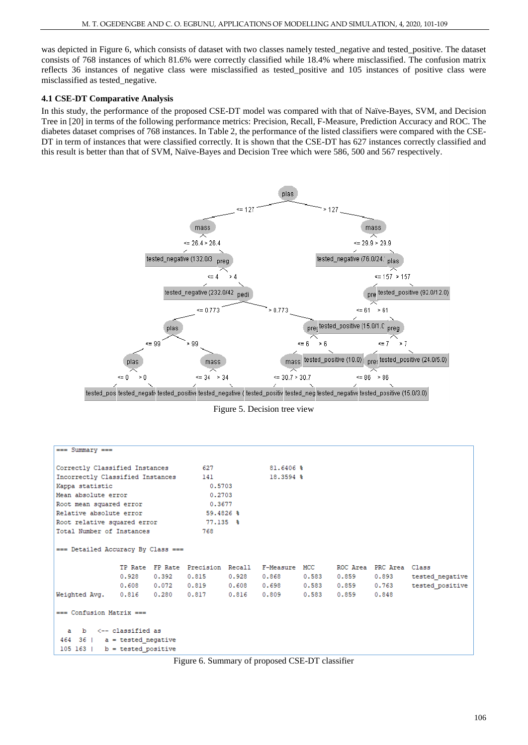was depicted in Figure 6, which consists of dataset with two classes namely tested\_negative and tested\_positive. The dataset consists of 768 instances of which 81.6% were correctly classified while 18.4% where misclassified. The confusion matrix reflects 36 instances of negative class were misclassified as tested\_positive and 105 instances of positive class were misclassified as tested\_negative.

## **4.1 CSE-DT Comparative Analysis**

In this study, the performance of the proposed CSE-DT model was compared with that of Naïve-Bayes, SVM, and Decision Tree in [20] in terms of the following performance metrics: Precision, Recall, F-Measure, Prediction Accuracy and ROC. The diabetes dataset comprises of 768 instances. In Table 2, the performance of the listed classifiers were compared with the CSE-DT in term of instances that were classified correctly. It is shown that the CSE-DT has 627 instances correctly classified and this result is better than that of SVM, Naïve-Bayes and Decision Tree which were 586, 500 and 567 respectively.



Figure 5. Decision tree view

| $==$ Summary $==$                                             |                                 |        |                                                  |           |                                                                          |  |  |  |                 |
|---------------------------------------------------------------|---------------------------------|--------|--------------------------------------------------|-----------|--------------------------------------------------------------------------|--|--|--|-----------------|
|                                                               |                                 |        | Correctly Classified Instances 627 620 81.6406 % |           |                                                                          |  |  |  |                 |
| Incorrectly Classified Instances 141                          |                                 |        |                                                  | 18.3594 % |                                                                          |  |  |  |                 |
| Kappa statistic                                               |                                 | 0.5703 |                                                  |           |                                                                          |  |  |  |                 |
| Mean absolute error                                           |                                 | 0.2703 |                                                  |           |                                                                          |  |  |  |                 |
| Root mean squared error                                       |                                 | 0.3677 |                                                  |           |                                                                          |  |  |  |                 |
| Relative absolute error                                       |                                 |        | $59.4826$ \$                                     |           |                                                                          |  |  |  |                 |
|                                                               |                                 |        |                                                  |           |                                                                          |  |  |  |                 |
| Root relative squared error 77.135 %                          |                                 |        |                                                  |           |                                                                          |  |  |  |                 |
| Total Number of Instances                                     | 768                             |        |                                                  |           |                                                                          |  |  |  |                 |
| $=$ == Detailed Accuracy By Class ===                         |                                 |        |                                                  |           |                                                                          |  |  |  |                 |
|                                                               |                                 |        |                                                  |           | TP Rate FP Rate Precision Recall F-Measure MCC 6 ROC Area PRC Area Class |  |  |  |                 |
|                                                               |                                 |        |                                                  |           | $0.928$ $0.392$ $0.815$ $0.928$ $0.868$ $0.583$ $0.859$ $0.893$          |  |  |  | tested negative |
|                                                               |                                 |        |                                                  |           | $0.608$ $0.072$ $0.819$ $0.608$ $0.698$ $0.583$ $0.859$ $0.763$          |  |  |  | tested positive |
| Weighted Avg. 0.816 0.280 0.817 0.816 0.809 0.583 0.859 0.848 |                                 |        |                                                  |           |                                                                          |  |  |  |                 |
| $==$ Confusion Matrix $==$                                    |                                 |        |                                                  |           |                                                                          |  |  |  |                 |
| a b <-- classified as                                         |                                 |        |                                                  |           |                                                                          |  |  |  |                 |
| $464$ 36   a = tested negative                                |                                 |        |                                                  |           |                                                                          |  |  |  |                 |
|                                                               | $105 163$   b = tested positive |        |                                                  |           |                                                                          |  |  |  |                 |

Figure 6. Summary of proposed CSE-DT classifier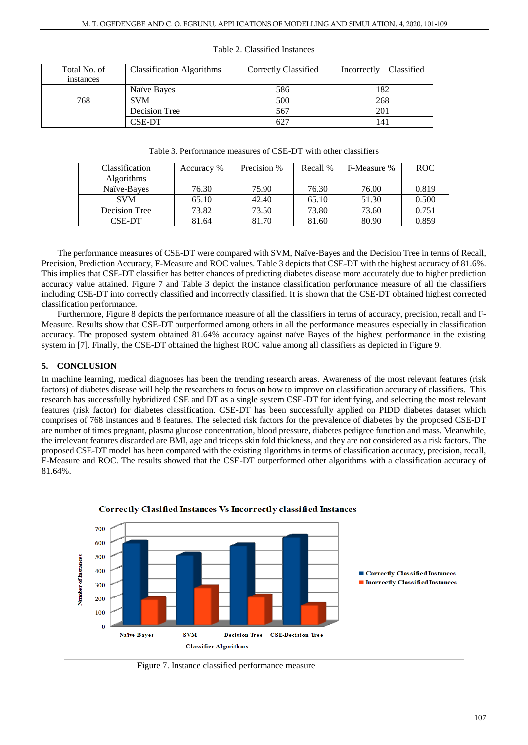| Total No. of<br>instances | <b>Classification Algorithms</b> | Correctly Classified | Classified<br>Incorrectly |
|---------------------------|----------------------------------|----------------------|---------------------------|
|                           | Naïve Bayes                      | 586                  | 182                       |
| 768                       | <b>SVM</b>                       | 500                  | 268                       |
|                           | Decision Tree                    | 567                  | 201                       |
|                           | CSE-DT                           | 627                  | 141                       |

### Table 2. Classified Instances

| Table 3. Performance measures of CSE-DT with other classifiers |  |
|----------------------------------------------------------------|--|
|----------------------------------------------------------------|--|

| Classification    | Accuracy % | Precision % | Recall % | F-Measure % | <b>ROC</b> |
|-------------------|------------|-------------|----------|-------------|------------|
| <b>Algorithms</b> |            |             |          |             |            |
| Naïve-Bayes       | 76.30      | 75.90       | 76.30    | 76.00       | 0.819      |
| <b>SVM</b>        | 65.10      | 42.40       | 65.10    | 51.30       | 0.500      |
| Decision Tree     | 73.82      | 73.50       | 73.80    | 73.60       | 0.751      |
| <b>CSE-DT</b>     | 81.64      | 81.70       | 81.60    | 80.90       | 0.859      |

The performance measures of CSE-DT were compared with SVM, Naïve-Bayes and the Decision Tree in terms of Recall, Precision, Prediction Accuracy, F-Measure and ROC values. Table 3 depicts that CSE-DT with the highest accuracy of 81.6%. This implies that CSE-DT classifier has better chances of predicting diabetes disease more accurately due to higher prediction accuracy value attained. Figure 7 and Table 3 depict the instance classification performance measure of all the classifiers including CSE-DT into correctly classified and incorrectly classified. It is shown that the CSE-DT obtained highest corrected classification performance.

Furthermore, Figure 8 depicts the performance measure of all the classifiers in terms of accuracy, precision, recall and F-Measure. Results show that CSE-DT outperformed among others in all the performance measures especially in classification accuracy. The proposed system obtained 81.64% accuracy against naïve Bayes of the highest performance in the existing system in [7]. Finally, the CSE-DT obtained the highest ROC value among all classifiers as depicted in Figure 9.

# **5. CONCLUSION**

In machine learning, medical diagnoses has been the trending research areas. Awareness of the most relevant features (risk factors) of diabetes disease will help the researchers to focus on how to improve on classification accuracy of classifiers. This research has successfully hybridized CSE and DT as a single system CSE-DT for identifying, and selecting the most relevant features (risk factor) for diabetes classification. CSE-DT has been successfully applied on PIDD diabetes dataset which comprises of 768 instances and 8 features. The selected risk factors for the prevalence of diabetes by the proposed CSE-DT are number of times pregnant, plasma glucose concentration, blood pressure, diabetes pedigree function and mass. Meanwhile, the irrelevant features discarded are BMI, age and triceps skin fold thickness, and they are not considered as a risk factors. The proposed CSE-DT model has been compared with the existing algorithms in terms of classification accuracy, precision, recall, F-Measure and ROC. The results showed that the CSE-DT outperformed other algorithms with a classification accuracy of 81.64%.



Correctly Clasified Instances Vs Incorrectly classified Instances

Figure 7. Instance classified performance measure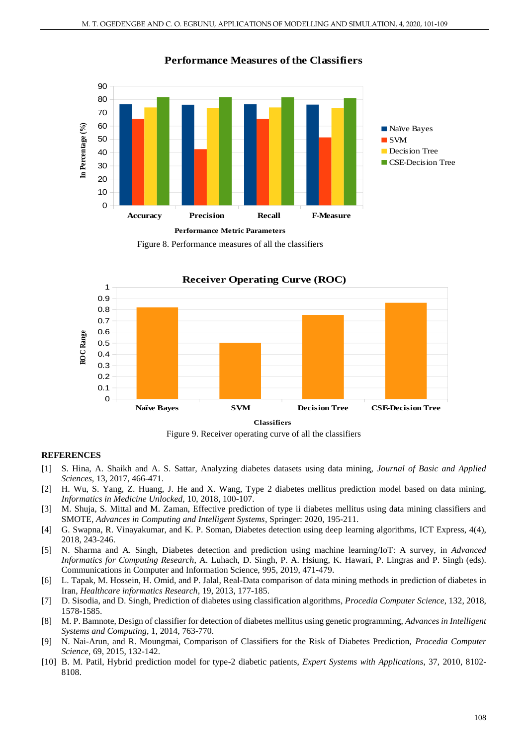

# **Performance Measures of the Classifiers**

Figure 8. Performance measures of all the classifiers



Figure 9. Receiver operating curve of all the classifiers

## **REFERENCES**

- [1] S. Hina, A. Shaikh and A. S. Sattar, Analyzing diabetes datasets using data mining, *Journal of Basic and Applied Sciences,* 13, 2017, 466-471.
- [2] H. Wu, S. Yang, Z. Huang, J. He and X. Wang, Type 2 diabetes mellitus prediction model based on data mining, *Informatics in Medicine Unlocked,* 10, 2018, 100-107.
- [3] M. Shuja, S. Mittal and M. Zaman, Effective prediction of type ii diabetes mellitus using data mining classifiers and SMOTE, *Advances in Computing and Intelligent Systems*, Springer: 2020, 195-211.
- [4] G. Swapna, R. Vinayakumar, and K. P. Soman, Diabetes detection using deep learning algorithms, ICT Express, 4(4), 2018, 243-246.
- [5] N. Sharma and A. Singh, Diabetes detection and prediction using machine learning/IoT: A survey, in *Advanced Informatics for Computing Research*, A. Luhach, D. Singh, P. A. Hsiung, K. Hawari, P. Lingras and P. Singh (eds). Communications in Computer and Information Science, 995, 2019, 471-479.
- [6] L. Tapak, M. Hossein, H. Omid, and P. Jalal, Real-Data comparison of data mining methods in prediction of diabetes in Iran, *Healthcare informatics Research*, 19, 2013, 177-185.
- [7] D. Sisodia, and D. Singh, Prediction of diabetes using classification algorithms, *Procedia Computer Science*, 132, 2018, 1578-1585.
- [8] M. P. Bamnote, Design of classifier for detection of diabetes mellitus using genetic programming, *Advances in Intelligent Systems and Computing*, 1, 2014, 763-770.
- [9] N. Nai-Arun, and R. Moungmai, Comparison of Classifiers for the Risk of Diabetes Prediction, *Procedia Computer Science*, 69, 2015, 132-142.
- [10] B. M. Patil, Hybrid prediction model for type-2 diabetic patients, *Expert Systems with Applications*, 37, 2010, 8102- 8108.